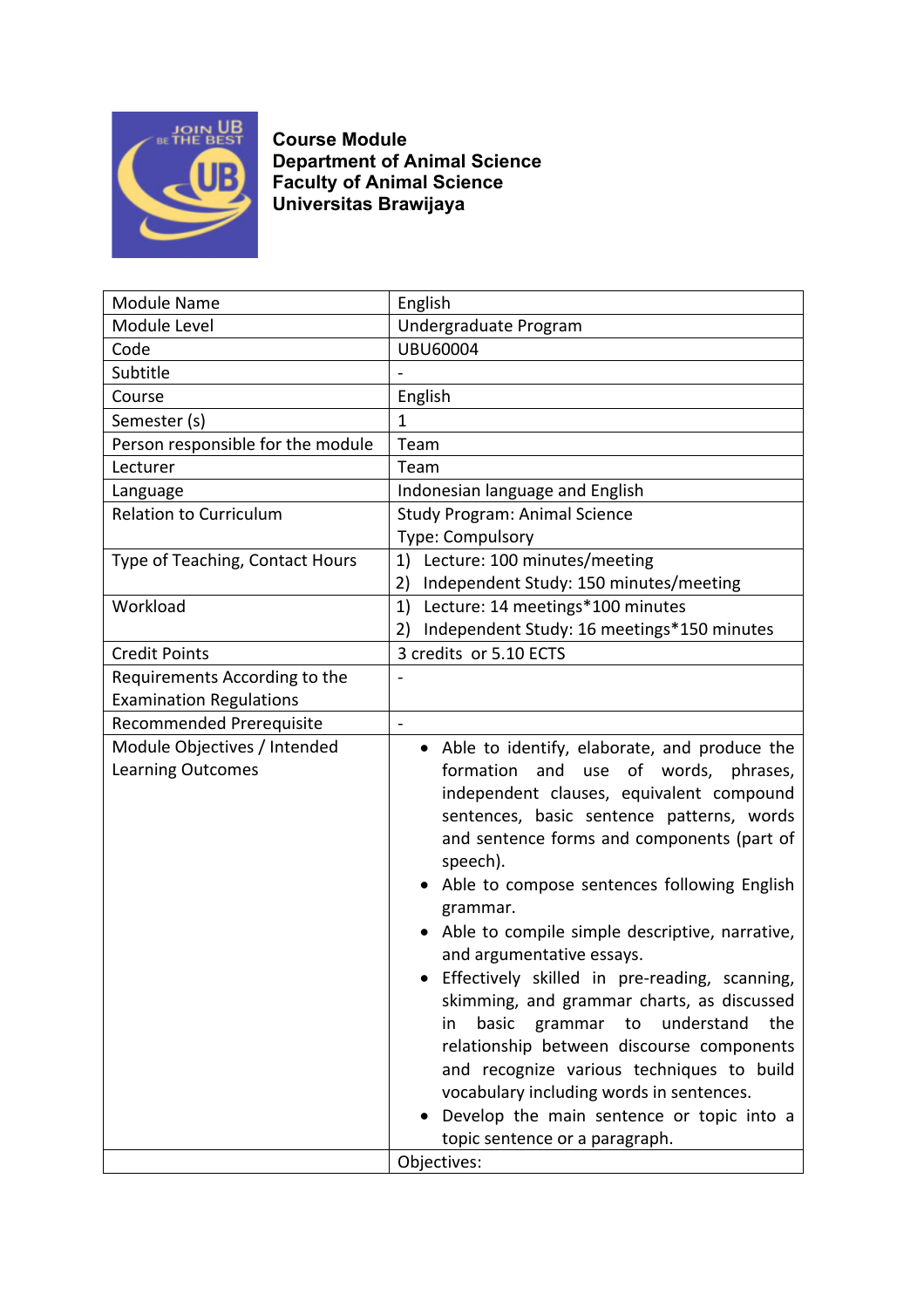

**Course Module Department of Animal Science Faculty of Animal Science Universitas Brawijaya**

| <b>Module Name</b>                                | English                                                                                                                                                                                                                                                                                                                                                                                                                                                                                                                                                                                                                                                                                                                                                                    |
|---------------------------------------------------|----------------------------------------------------------------------------------------------------------------------------------------------------------------------------------------------------------------------------------------------------------------------------------------------------------------------------------------------------------------------------------------------------------------------------------------------------------------------------------------------------------------------------------------------------------------------------------------------------------------------------------------------------------------------------------------------------------------------------------------------------------------------------|
| Module Level                                      | Undergraduate Program                                                                                                                                                                                                                                                                                                                                                                                                                                                                                                                                                                                                                                                                                                                                                      |
| Code                                              | <b>UBU60004</b>                                                                                                                                                                                                                                                                                                                                                                                                                                                                                                                                                                                                                                                                                                                                                            |
| Subtitle                                          |                                                                                                                                                                                                                                                                                                                                                                                                                                                                                                                                                                                                                                                                                                                                                                            |
| Course                                            | English                                                                                                                                                                                                                                                                                                                                                                                                                                                                                                                                                                                                                                                                                                                                                                    |
| Semester (s)                                      | $\overline{1}$                                                                                                                                                                                                                                                                                                                                                                                                                                                                                                                                                                                                                                                                                                                                                             |
| Person responsible for the module                 | Team                                                                                                                                                                                                                                                                                                                                                                                                                                                                                                                                                                                                                                                                                                                                                                       |
| Lecturer                                          | Team                                                                                                                                                                                                                                                                                                                                                                                                                                                                                                                                                                                                                                                                                                                                                                       |
| Language                                          | Indonesian language and English                                                                                                                                                                                                                                                                                                                                                                                                                                                                                                                                                                                                                                                                                                                                            |
| <b>Relation to Curriculum</b>                     | <b>Study Program: Animal Science</b>                                                                                                                                                                                                                                                                                                                                                                                                                                                                                                                                                                                                                                                                                                                                       |
|                                                   | Type: Compulsory                                                                                                                                                                                                                                                                                                                                                                                                                                                                                                                                                                                                                                                                                                                                                           |
| Type of Teaching, Contact Hours                   | Lecture: 100 minutes/meeting<br>1)                                                                                                                                                                                                                                                                                                                                                                                                                                                                                                                                                                                                                                                                                                                                         |
|                                                   | Independent Study: 150 minutes/meeting<br>2)                                                                                                                                                                                                                                                                                                                                                                                                                                                                                                                                                                                                                                                                                                                               |
| Workload                                          | Lecture: 14 meetings*100 minutes<br>1)                                                                                                                                                                                                                                                                                                                                                                                                                                                                                                                                                                                                                                                                                                                                     |
|                                                   | Independent Study: 16 meetings*150 minutes<br>2)                                                                                                                                                                                                                                                                                                                                                                                                                                                                                                                                                                                                                                                                                                                           |
| <b>Credit Points</b>                              | 3 credits or 5.10 ECTS                                                                                                                                                                                                                                                                                                                                                                                                                                                                                                                                                                                                                                                                                                                                                     |
| Requirements According to the                     |                                                                                                                                                                                                                                                                                                                                                                                                                                                                                                                                                                                                                                                                                                                                                                            |
| <b>Examination Regulations</b>                    |                                                                                                                                                                                                                                                                                                                                                                                                                                                                                                                                                                                                                                                                                                                                                                            |
| Recommended Prerequisite                          |                                                                                                                                                                                                                                                                                                                                                                                                                                                                                                                                                                                                                                                                                                                                                                            |
| Module Objectives / Intended<br>Learning Outcomes | • Able to identify, elaborate, and produce the<br>and<br>formation<br>of words,<br>phrases,<br>use<br>independent clauses, equivalent compound<br>sentences, basic sentence patterns, words<br>and sentence forms and components (part of<br>speech).<br>Able to compose sentences following English<br>grammar.<br>Able to compile simple descriptive, narrative,<br>and argumentative essays.<br>• Effectively skilled in pre-reading, scanning,<br>skimming, and grammar charts, as discussed<br>basic<br>understand<br>the<br>grammar<br>in<br>to<br>relationship between discourse components<br>and recognize various techniques to build<br>vocabulary including words in sentences.<br>Develop the main sentence or topic into a<br>topic sentence or a paragraph. |
|                                                   | Objectives:                                                                                                                                                                                                                                                                                                                                                                                                                                                                                                                                                                                                                                                                                                                                                                |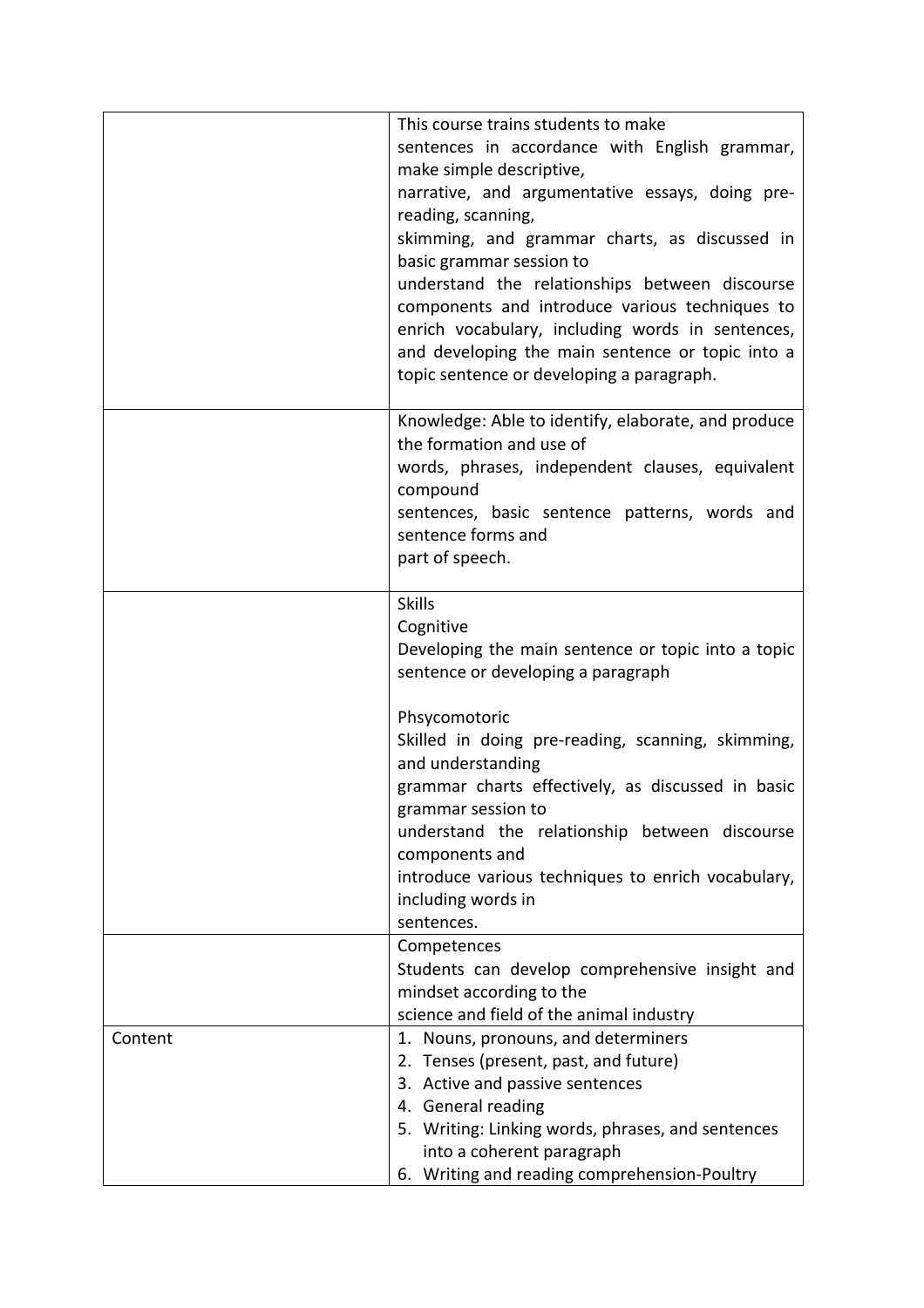|         | This course trains students to make<br>sentences in accordance with English grammar,<br>make simple descriptive,<br>narrative, and argumentative essays, doing pre-<br>reading, scanning,<br>skimming, and grammar charts, as discussed in<br>basic grammar session to<br>understand the relationships between discourse<br>components and introduce various techniques to<br>enrich vocabulary, including words in sentences,<br>and developing the main sentence or topic into a<br>topic sentence or developing a paragraph. |
|---------|---------------------------------------------------------------------------------------------------------------------------------------------------------------------------------------------------------------------------------------------------------------------------------------------------------------------------------------------------------------------------------------------------------------------------------------------------------------------------------------------------------------------------------|
|         | Knowledge: Able to identify, elaborate, and produce<br>the formation and use of<br>words, phrases, independent clauses, equivalent<br>compound<br>sentences, basic sentence patterns, words and<br>sentence forms and<br>part of speech.                                                                                                                                                                                                                                                                                        |
|         | <b>Skills</b><br>Cognitive<br>Developing the main sentence or topic into a topic<br>sentence or developing a paragraph                                                                                                                                                                                                                                                                                                                                                                                                          |
|         | Phsycomotoric<br>Skilled in doing pre-reading, scanning, skimming,<br>and understanding<br>grammar charts effectively, as discussed in basic<br>grammar session to<br>understand the relationship between discourse<br>components and<br>introduce various techniques to enrich vocabulary,<br>including words in<br>sentences.                                                                                                                                                                                                 |
|         | Competences<br>Students can develop comprehensive insight and<br>mindset according to the<br>science and field of the animal industry                                                                                                                                                                                                                                                                                                                                                                                           |
| Content | 1. Nouns, pronouns, and determiners<br>2. Tenses (present, past, and future)<br>3. Active and passive sentences<br>4. General reading<br>5. Writing: Linking words, phrases, and sentences<br>into a coherent paragraph<br>6. Writing and reading comprehension-Poultry                                                                                                                                                                                                                                                         |